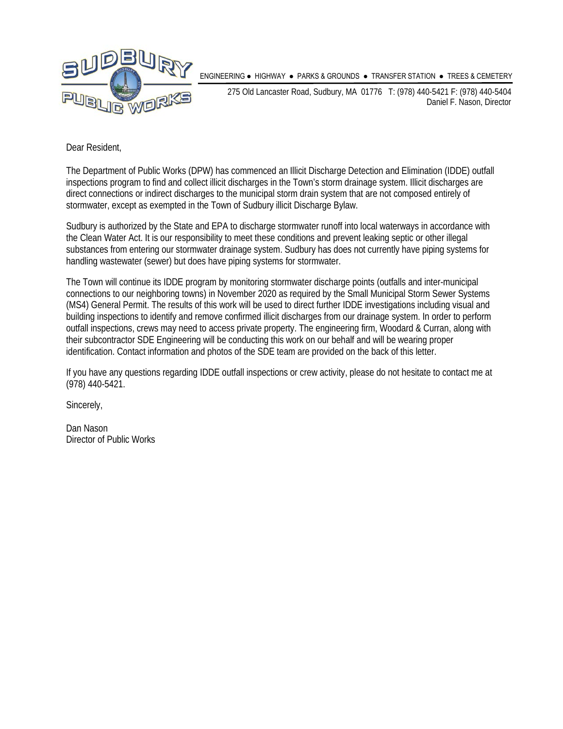

ENGINEERING ● HIGHWAY ● PARKS & GROUNDS ● TRANSFER STATION ● TREES & CEMETERY

275 Old Lancaster Road, Sudbury, MA 01776 T: (978) 440-5421 F: (978) 440-5404 Daniel F. Nason, Director

Dear Resident,

The Department of Public Works (DPW) has commenced an Illicit Discharge Detection and Elimination (IDDE) outfall inspections program to find and collect illicit discharges in the Town's storm drainage system. Illicit discharges are direct connections or indirect discharges to the municipal storm drain system that are not composed entirely of stormwater, except as exempted in the Town of Sudbury illicit Discharge Bylaw.

Sudbury is authorized by the State and EPA to discharge stormwater runoff into local waterways in accordance with the Clean Water Act. It is our responsibility to meet these conditions and prevent leaking septic or other illegal substances from entering our stormwater drainage system. Sudbury has does not currently have piping systems for handling wastewater (sewer) but does have piping systems for stormwater.

The Town will continue its IDDE program by monitoring stormwater discharge points (outfalls and inter-municipal connections to our neighboring towns) in November 2020 as required by the Small Municipal Storm Sewer Systems (MS4) General Permit. The results of this work will be used to direct further IDDE investigations including visual and building inspections to identify and remove confirmed illicit discharges from our drainage system. In order to perform outfall inspections, crews may need to access private property. The engineering firm, Woodard & Curran, along with their subcontractor SDE Engineering will be conducting this work on our behalf and will be wearing proper identification. Contact information and photos of the SDE team are provided on the back of this letter.

If you have any questions regarding IDDE outfall inspections or crew activity, please do not hesitate to contact me at (978) 440-5421.

Sincerely,

Dan Nason Director of Public Works